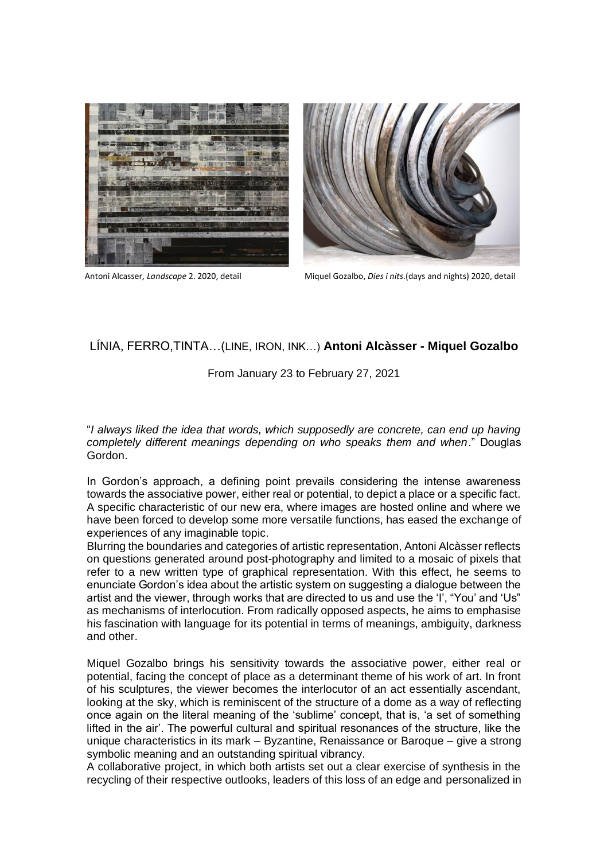



Antoni Alcasser*, Landscape* 2. 2020, detail Miquel Gozalbo, *Dies i nits*.(days and nights) 2020, detail

## LÍNIA, FERRO,TINTA…(LINE, IRON, INK…) **Antoni Alcàsser - Miquel Gozalbo**

## From January 23 to February 27, 2021

"*I always liked the idea that words, which supposedly are concrete, can end up having completely different meanings depending on who speaks them and when*." Douglas Gordon.

In Gordon's approach, a defining point prevails considering the intense awareness towards the associative power, either real or potential, to depict a place or a specific fact. A specific characteristic of our new era, where images are hosted online and where we have been forced to develop some more versatile functions, has eased the exchange of experiences of any imaginable topic.

Blurring the boundaries and categories of artistic representation, Antoni Alcàsser reflects on questions generated around post-photography and limited to a mosaic of pixels that refer to a new written type of graphical representation. With this effect, he seems to enunciate Gordon's idea about the artistic system on suggesting a dialogue between the artist and the viewer, through works that are directed to us and use the 'I', "You' and 'Us" as mechanisms of interlocution. From radically opposed aspects, he aims to emphasise his fascination with language for its potential in terms of meanings, ambiguity, darkness and other.

Miquel Gozalbo brings his sensitivity towards the associative power, either real or potential, facing the concept of place as a determinant theme of his work of art. In front of his sculptures, the viewer becomes the interlocutor of an act essentially ascendant, looking at the sky, which is reminiscent of the structure of a dome as a way of reflecting once again on the literal meaning of the 'sublime' concept, that is, 'a set of something lifted in the air'. The powerful cultural and spiritual resonances of the structure, like the unique characteristics in its mark – Byzantine, Renaissance or Baroque – give a strong symbolic meaning and an outstanding spiritual vibrancy.

A collaborative project, in which both artists set out a clear exercise of synthesis in the recycling of their respective outlooks, leaders of this loss of an edge and personalized in